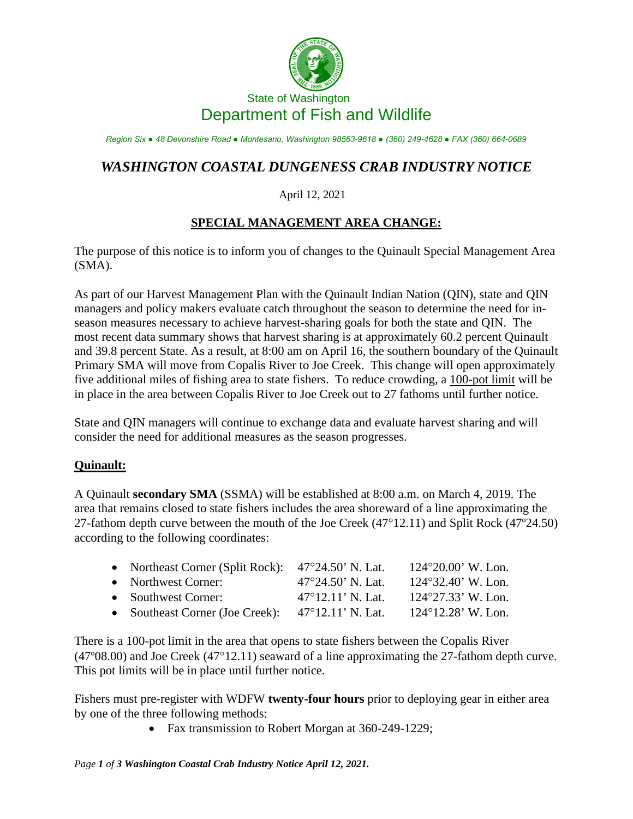

# State of Washington Department of Fish and Wildlife

*Region Six ● 48 Devonshire Road ● Montesano, Washington 98563-9618 ● (360) 249-4628 ● FAX (360) 664-0689*

# *WASHINGTON COASTAL DUNGENESS CRAB INDUSTRY NOTICE*

#### April 12, 2021

## **SPECIAL MANAGEMENT AREA CHANGE:**

The purpose of this notice is to inform you of changes to the Quinault Special Management Area (SMA).

As part of our Harvest Management Plan with the Quinault Indian Nation (QIN), state and QIN managers and policy makers evaluate catch throughout the season to determine the need for inseason measures necessary to achieve harvest-sharing goals for both the state and QIN. The most recent data summary shows that harvest sharing is at approximately 60.2 percent Quinault and 39.8 percent State. As a result, at 8:00 am on April 16, the southern boundary of the Quinault Primary SMA will move from Copalis River to Joe Creek. This change will open approximately five additional miles of fishing area to state fishers. To reduce crowding, a 100-pot limit will be in place in the area between Copalis River to Joe Creek out to 27 fathoms until further notice.

State and QIN managers will continue to exchange data and evaluate harvest sharing and will consider the need for additional measures as the season progresses.

## **Quinault:**

A Quinault **secondary SMA** (SSMA) will be established at 8:00 a.m. on March 4, 2019. The area that remains closed to state fishers includes the area shoreward of a line approximating the 27-fathom depth curve between the mouth of the Joe Creek (47°12.11) and Split Rock (47º24.50) according to the following coordinates:

| • Northeast Corner (Split Rock): 47°24.50' N. Lat. |                             | $124^{\circ}20.00$ ' W. Lon. |
|----------------------------------------------------|-----------------------------|------------------------------|
| • Northwest Corner:                                | $47^{\circ}24.50$ ' N. Lat. | $124^{\circ}32.40$ ' W. Lon. |
| • Southwest Corner:                                | $47^{\circ}12.11'$ N. Lat.  | $124^{\circ}27.33$ ' W. Lon. |
| • Southeast Corner (Joe Creek):                    | 47°12.11' N. Lat.           | $124^{\circ}12.28$ ' W. Lon. |

There is a 100-pot limit in the area that opens to state fishers between the Copalis River (47º08.00) and Joe Creek (47°12.11) seaward of a line approximating the 27-fathom depth curve. This pot limits will be in place until further notice.

Fishers must pre-register with WDFW **twenty-four hours** prior to deploying gear in either area by one of the three following methods:

• Fax transmission to Robert Morgan at 360-249-1229;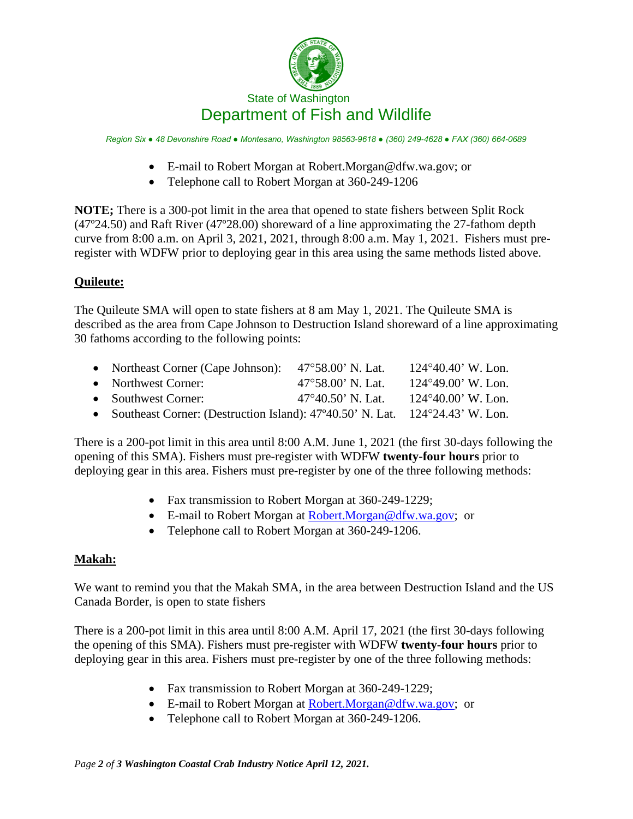

*Region Six ● 48 Devonshire Road ● Montesano, Washington 98563-9618 ● (360) 249-4628 ● FAX (360) 664-0689*

- E-mail to Robert Morgan at [Robert.Morgan@dfw.wa.gov;](mailto:Robert.Morgan@dfw.wa.gov) or
- Telephone call to Robert Morgan at 360-249-1206

**NOTE;** There is a 300-pot limit in the area that opened to state fishers between Split Rock (47º24.50) and Raft River (47º28.00) shoreward of a line approximating the 27-fathom depth curve from 8:00 a.m. on April 3, 2021, 2021, through 8:00 a.m. May 1, 2021. Fishers must preregister with WDFW prior to deploying gear in this area using the same methods listed above.

#### **Quileute:**

The Quileute SMA will open to state fishers at 8 am May 1, 2021. The Quileute SMA is described as the area from Cape Johnson to Destruction Island shoreward of a line approximating 30 fathoms according to the following points:

| • Northeast Corner (Cape Johnson): $47^{\circ}58.00$ ' N. Lat.                 |                             | $124^{\circ}40.40$ ' W. Lon. |
|--------------------------------------------------------------------------------|-----------------------------|------------------------------|
| • Northwest Corner:                                                            | $47^{\circ}58.00$ ' N. Lat. | $124^{\circ}49.00$ ' W. Lon. |
| • Southwest Corner:                                                            | $47^{\circ}40.50$ ' N. Lat. | $124^{\circ}40.00$ ' W. Lon. |
| • Southeast Corner: (Destruction Island): 47°40.50' N. Lat. 124°24.43' W. Lon. |                             |                              |

There is a 200-pot limit in this area until 8:00 A.M. June 1, 2021 (the first 30-days following the opening of this SMA). Fishers must pre-register with WDFW **twenty-four hours** prior to deploying gear in this area. Fishers must pre-register by one of the three following methods:

- Fax transmission to Robert Morgan at 360-249-1229;
- E-mail to Robert Morgan at [Robert.Morgan@dfw.wa.gov;](mailto:Robert.Morgan@dfw.wa.gov) or
- Telephone call to Robert Morgan at 360-249-1206.

## **Makah:**

We want to remind you that the Makah SMA, in the area between Destruction Island and the US Canada Border, is open to state fishers

There is a 200-pot limit in this area until 8:00 A.M. April 17, 2021 (the first 30-days following the opening of this SMA). Fishers must pre-register with WDFW **twenty-four hours** prior to deploying gear in this area. Fishers must pre-register by one of the three following methods:

- Fax transmission to Robert Morgan at 360-249-1229;
- E-mail to Robert Morgan at [Robert.Morgan@dfw.wa.gov;](mailto:Robert.Morgan@dfw.wa.gov) or
- Telephone call to Robert Morgan at 360-249-1206.